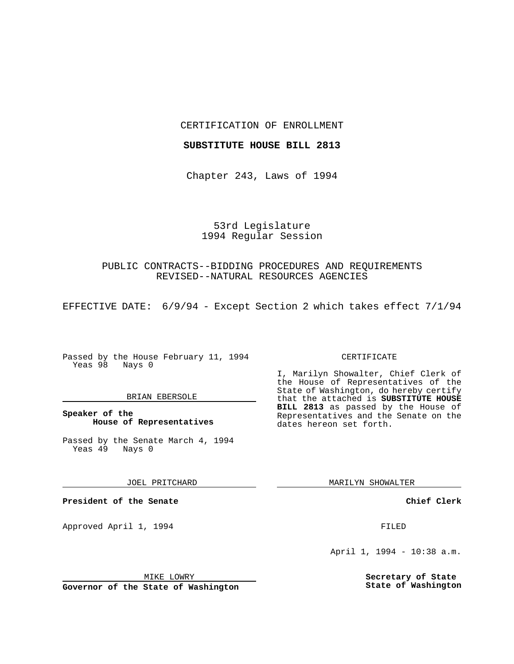CERTIFICATION OF ENROLLMENT

#### **SUBSTITUTE HOUSE BILL 2813**

Chapter 243, Laws of 1994

# 53rd Legislature 1994 Regular Session

## PUBLIC CONTRACTS--BIDDING PROCEDURES AND REQUIREMENTS REVISED--NATURAL RESOURCES AGENCIES

EFFECTIVE DATE: 6/9/94 - Except Section 2 which takes effect 7/1/94

Passed by the House February 11, 1994 Yeas 98 Nays 0

### BRIAN EBERSOLE

**Speaker of the House of Representatives**

Passed by the Senate March 4, 1994<br>Yeas 49 Nays 0 Yeas 49

JOEL PRITCHARD

**President of the Senate**

Approved April 1, 1994 **FILED** 

#### MIKE LOWRY

**Governor of the State of Washington**

#### CERTIFICATE

I, Marilyn Showalter, Chief Clerk of the House of Representatives of the State of Washington, do hereby certify that the attached is **SUBSTITUTE HOUSE BILL 2813** as passed by the House of Representatives and the Senate on the dates hereon set forth.

MARILYN SHOWALTER

### **Chief Clerk**

April 1, 1994 - 10:38 a.m.

**Secretary of State State of Washington**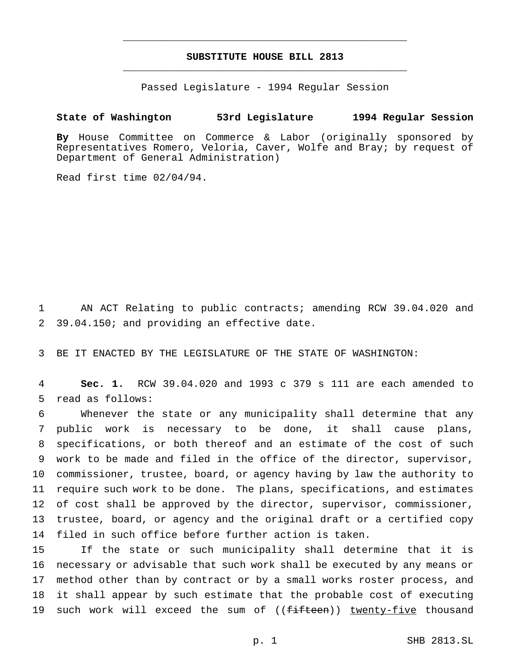# **SUBSTITUTE HOUSE BILL 2813** \_\_\_\_\_\_\_\_\_\_\_\_\_\_\_\_\_\_\_\_\_\_\_\_\_\_\_\_\_\_\_\_\_\_\_\_\_\_\_\_\_\_\_\_\_\_\_

\_\_\_\_\_\_\_\_\_\_\_\_\_\_\_\_\_\_\_\_\_\_\_\_\_\_\_\_\_\_\_\_\_\_\_\_\_\_\_\_\_\_\_\_\_\_\_

Passed Legislature - 1994 Regular Session

### **State of Washington 53rd Legislature 1994 Regular Session**

**By** House Committee on Commerce & Labor (originally sponsored by Representatives Romero, Veloria, Caver, Wolfe and Bray; by request of Department of General Administration)

Read first time 02/04/94.

 AN ACT Relating to public contracts; amending RCW 39.04.020 and 39.04.150; and providing an effective date.

BE IT ENACTED BY THE LEGISLATURE OF THE STATE OF WASHINGTON:

 **Sec. 1.** RCW 39.04.020 and 1993 c 379 s 111 are each amended to read as follows:

 Whenever the state or any municipality shall determine that any public work is necessary to be done, it shall cause plans, specifications, or both thereof and an estimate of the cost of such work to be made and filed in the office of the director, supervisor, commissioner, trustee, board, or agency having by law the authority to require such work to be done. The plans, specifications, and estimates of cost shall be approved by the director, supervisor, commissioner, trustee, board, or agency and the original draft or a certified copy filed in such office before further action is taken.

 If the state or such municipality shall determine that it is necessary or advisable that such work shall be executed by any means or method other than by contract or by a small works roster process, and it shall appear by such estimate that the probable cost of executing 19 such work will exceed the sum of ((fifteen)) twenty-five thousand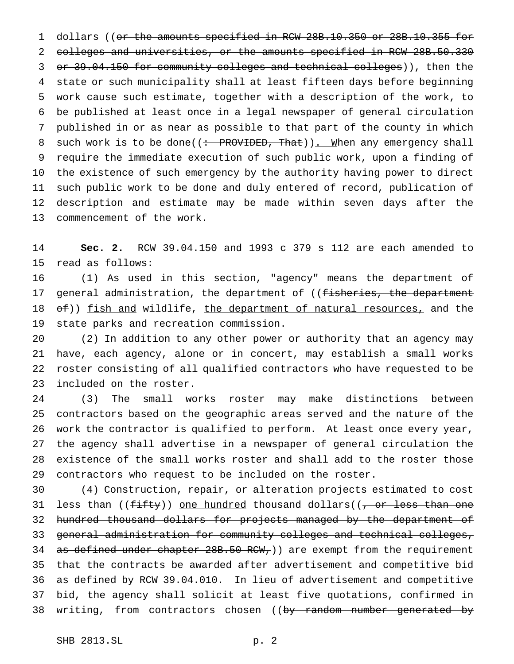1 dollars ((or the amounts specified in RCW 28B.10.350 or 28B.10.355 for colleges and universities, or the amounts specified in RCW 28B.50.330 or 39.04.150 for community colleges and technical colleges)), then the state or such municipality shall at least fifteen days before beginning work cause such estimate, together with a description of the work, to be published at least once in a legal newspaper of general circulation published in or as near as possible to that part of the county in which 8 such work is to be done((: PROVIDED, That)). When any emergency shall require the immediate execution of such public work, upon a finding of the existence of such emergency by the authority having power to direct such public work to be done and duly entered of record, publication of description and estimate may be made within seven days after the commencement of the work.

 **Sec. 2.** RCW 39.04.150 and 1993 c 379 s 112 are each amended to read as follows:

 (1) As used in this section, "agency" means the department of 17 general administration, the department of ((fisheries, the department 18 of)) fish and wildlife, the department of natural resources, and the state parks and recreation commission.

 (2) In addition to any other power or authority that an agency may have, each agency, alone or in concert, may establish a small works roster consisting of all qualified contractors who have requested to be included on the roster.

 (3) The small works roster may make distinctions between contractors based on the geographic areas served and the nature of the work the contractor is qualified to perform. At least once every year, the agency shall advertise in a newspaper of general circulation the existence of the small works roster and shall add to the roster those contractors who request to be included on the roster.

 (4) Construction, repair, or alteration projects estimated to cost 31 less than ((fifty)) <u>one hundred</u> thousand dollars((<del>, or less than one</del> 32 hundred thousand dollars for projects managed by the department of general administration for community colleges and technical colleges, 34 as defined under chapter 28B.50 RCW, ) are exempt from the requirement that the contracts be awarded after advertisement and competitive bid as defined by RCW 39.04.010. In lieu of advertisement and competitive bid, the agency shall solicit at least five quotations, confirmed in 38 writing, from contractors chosen ((by random number generated by